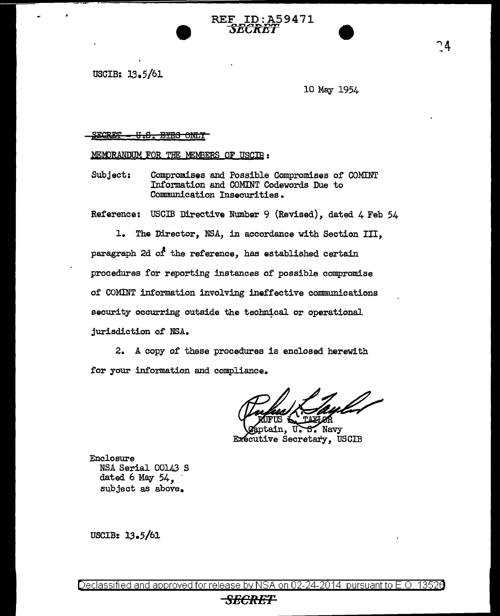USGIB: 13.5/61

10 May 1954

## SECRET <del>- U.S. BYBS ONLY</del>

MEMORANDUM FOR THE MEMBERS OF USCIB :

Subject: Compromises and Possible Compromises of COMINT Information and COMINT Codewords Due to Communication Insecurities.

Reference; USCIB Directive Number 9 (Revised), dated 4 Feb 54

REF ID: A59471  $\pi$ r $\pi$ n

1. The Director, NSA, in accordance with Section III, paragraph 2d *of* the reference, has established certain procedures for reporting instances of possible compromise of COMINT information involving ineffective communications security occurring outside the technical or operational jurisdiction of NSA.

2. A copy of these procedures is enclosed herewith for your information and compliance.

ain.  $\mathcal I$  Navy U. Executive Secretary, USCIB

Enclosure NSA Serial 00143 S<br>dated 6 May 54. subject as above.

USCIB: 13.5/61

## *SECRET*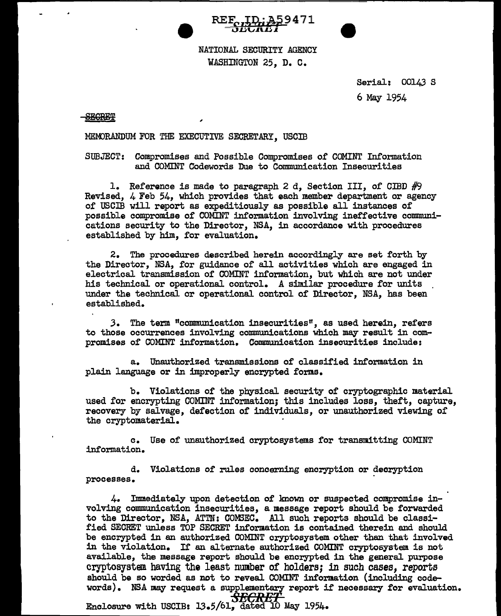



NATIONAL SECURITY AGENCY WASHINGTON 25, D. C.

> Serial: 00143 S 6 May 1954

## **SECRET**

MEMORANDUM FOR THE EXECUTIVE SECRETARY, USCIB

,

SUBJECT: Compromises and Possible Compromises of COMINT Information and COMINT Codewords Due to Communication Insecurities

1. Reference is made to paragraph 2 d, Section III, of CIBD  $#9$ Revised, 4 Feb 54, which provides that each member department or agency of USCIB will report as expeditiously as possible all instances of possible compromise of COMINT information involving ineffective communications security to the Director, NSA, in accordance with procedures established by him, for evaluation.

2. The procedures described herein accordingly are set forth by the Director, NSA, for guidance of all activities which are engaged in electrical transmission of COMINT information, but which are not under his technical or operational control. A similar procedure for units under the technical or operational control of Director, NSA, has been established.

.3. The term "communication insecurities", as used herein, refers to those occurrences involving communications which may result in compromises of COMINT information. Communication insecurities include:

a. Unauthorized transmissions of classified information in plain language or in improperly encrypted forms.

b. Violations of the physical security of cryptographic material used for encrypting COMINT information; this includes loss, theft, capture, recovery by salvage, defection of individuals, or unauthorized viewing of the cryptomaterial.

c. Use of unauthorized cryptosystems for transmitting COMINT information.

d. Violations of rules concerning encryption or decryption processes.

4. Immediately upon detection of known or suspected compromise involving communication insecurities, a message report should be forwarded to the Director, NSA, ATTN: COM3EC. All such reports should be classified SECRET unless TOP SECRET information is contained therein and should be encrypted in an authorized COMINT cryptosystem other than that involved in the violation. If an alternate authorized COMINT cryptosystem is not available, the message report should be encrypted in the general purpose cryptosystem having the least number or holders; in such cases, reports should be so worded as not to reveal COMINT information (including codewords). NSA may request a supplementary report if necessary for evaluation.

**Enclosure with USCIB: 13.5/61, dated 10 May 1954.**